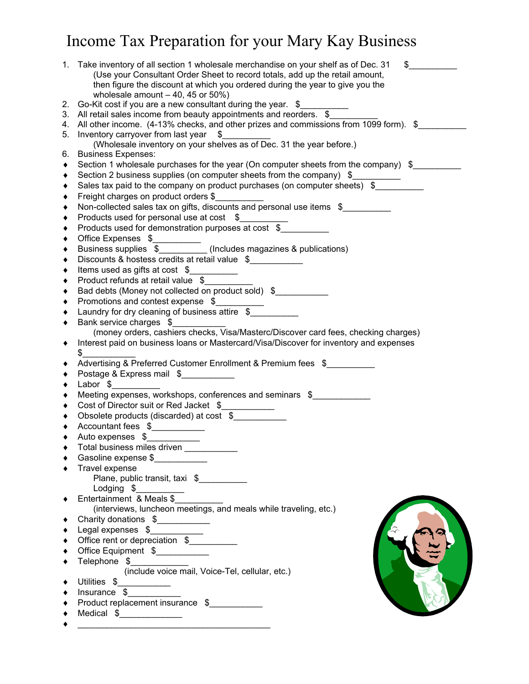## Income Tax Preparation for your Mary Kay Business

|          | 1. Take inventory of all section 1 wholesale merchandise on your shelf as of Dec. 31<br>$\sim$<br>(Use your Consultant Order Sheet to record totals, add up the retail amount,<br>then figure the discount at which you ordered during the year to give you the |
|----------|-----------------------------------------------------------------------------------------------------------------------------------------------------------------------------------------------------------------------------------------------------------------|
|          | wholesale amount $-40$ , 45 or 50%)                                                                                                                                                                                                                             |
| 2.<br>3. | Go-Kit cost if you are a new consultant during the year. \$<br>All retail sales income from beauty appointments and reorders. \$                                                                                                                                |
| 4.       | All other income. (4-13% checks, and other prizes and commissions from 1099 form). \$                                                                                                                                                                           |
| 5.       | Inventory carryover from last year \$                                                                                                                                                                                                                           |
|          | (Wholesale inventory on your shelves as of Dec. 31 the year before.)                                                                                                                                                                                            |
|          | 6. Business Expenses:                                                                                                                                                                                                                                           |
| ٠        | Section 1 wholesale purchases for the year (On computer sheets from the company) \$                                                                                                                                                                             |
| ٠        | Section 2 business supplies (on computer sheets from the company) \$                                                                                                                                                                                            |
| ٠        | Sales tax paid to the company on product purchases (on computer sheets) \$                                                                                                                                                                                      |
| ٠        | Freight charges on product orders \$                                                                                                                                                                                                                            |
| ٠        | Non-collected sales tax on gifts, discounts and personal use items \$                                                                                                                                                                                           |
| ٠        | Products used for personal use at cost \$                                                                                                                                                                                                                       |
| ٠        | Products used for demonstration purposes at cost $\sqrt{$}$                                                                                                                                                                                                     |
| ٠        |                                                                                                                                                                                                                                                                 |
| ٠        |                                                                                                                                                                                                                                                                 |
| ٠        | Discounts & hostess credits at retail value \$                                                                                                                                                                                                                  |
| ٠        | Items used as gifts at cost \$<br>$\overline{\phantom{a}}$                                                                                                                                                                                                      |
| ٠        | Product refunds at retail value \$                                                                                                                                                                                                                              |
| ٠        | Bad debts (Money not collected on product sold) \$                                                                                                                                                                                                              |
| ٠        | Promotions and contest expense \$                                                                                                                                                                                                                               |
| ٠        | Laundry for dry cleaning of business attire \$                                                                                                                                                                                                                  |
| ٠        | Bank service charges \$                                                                                                                                                                                                                                         |
|          | (money orders, cashiers checks, Visa/Masterc/Discover card fees, checking charges)                                                                                                                                                                              |
| ٠        | Interest paid on business loans or Mastercard/Visa/Discover for inventory and expenses<br>\$                                                                                                                                                                    |
| ٠        | Advertising & Preferred Customer Enrollment & Premium fees \$                                                                                                                                                                                                   |
| ٠        | Postage & Express mail \$                                                                                                                                                                                                                                       |
| ٠        | Labor \$                                                                                                                                                                                                                                                        |
| ٠        | Meeting expenses, workshops, conferences and seminars \$                                                                                                                                                                                                        |
| ٠        | Cost of Director suit or Red Jacket \$                                                                                                                                                                                                                          |
| ٠        | Obsolete products (discarded) at cost \$                                                                                                                                                                                                                        |
| ٠        | Accountant fees \$                                                                                                                                                                                                                                              |
| ٠        | Auto expenses \$                                                                                                                                                                                                                                                |
|          | Total business miles driven ____________                                                                                                                                                                                                                        |
|          | Gasoline expense \$                                                                                                                                                                                                                                             |
|          | Travel expense                                                                                                                                                                                                                                                  |
|          | Plane, public transit, taxi \$                                                                                                                                                                                                                                  |
|          | Lodging \$<br>Entertainment & Meals \$                                                                                                                                                                                                                          |
| ٠        |                                                                                                                                                                                                                                                                 |
|          | (interviews, luncheon meetings, and meals while traveling, etc.)                                                                                                                                                                                                |
| ٠        | Charity donations \$                                                                                                                                                                                                                                            |
| ٠        | Legal expenses \$                                                                                                                                                                                                                                               |
| ٠        | Office rent or depreciation \$                                                                                                                                                                                                                                  |
| ٠        | Office Equipment \$                                                                                                                                                                                                                                             |
|          | Telephone \$<br>(include voice mail, Voice-Tel, cellular, etc.)                                                                                                                                                                                                 |
|          |                                                                                                                                                                                                                                                                 |
| ٠        | Utilities \$_____________                                                                                                                                                                                                                                       |
| ٠        | $Insurance \$<br>Product replacement insurance \$                                                                                                                                                                                                               |
|          |                                                                                                                                                                                                                                                                 |
|          | Medical \$________________                                                                                                                                                                                                                                      |
|          |                                                                                                                                                                                                                                                                 |